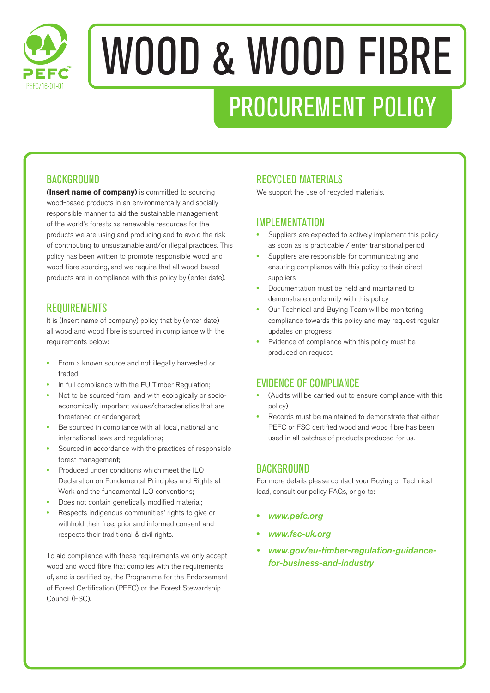

# WOOD & WOOD FIBRE PROCUREMENT POLICY

# **BACKGROUND**

**(Insert name of company)** is committed to sourcing wood-based products in an environmentally and socially responsible manner to aid the sustainable management of the world's forests as renewable resources for the products we are using and producing and to avoid the risk of contributing to unsustainable and/or illegal practices. This policy has been written to promote responsible wood and wood fibre sourcing, and we require that all wood-based products are in compliance with this policy by (enter date).

# REQUIREMENTS

It is (Insert name of company) policy that by (enter date) all wood and wood fibre is sourced in compliance with the requirements below:

- **•** From a known source and not illegally harvested or traded;
- **•** In full compliance with the EU Timber Regulation;
- **•** Not to be sourced from land with ecologically or socioeconomically important values/characteristics that are threatened or endangered;
- **•** Be sourced in compliance with all local, national and international laws and regulations;
- **•** Sourced in accordance with the practices of responsible forest management;
- **•** Produced under conditions which meet the ILO Declaration on Fundamental Principles and Rights at Work and the fundamental ILO conventions;
- **•** Does not contain genetically modified material;
- **•** Respects indigenous communities' rights to give or withhold their free, prior and informed consent and respects their traditional & civil rights.

To aid compliance with these requirements we only accept wood and wood fibre that complies with the requirements of, and is certified by, the Programme for the Endorsement of Forest Certification (PEFC) or the Forest Stewardship Council (FSC).

# RECYCLED MATERIALS

We support the use of recycled materials.

# IMPI FMFNTATION

- **•** Suppliers are expected to actively implement this policy as soon as is practicable / enter transitional period
- **•** Suppliers are responsible for communicating and ensuring compliance with this policy to their direct suppliers
- **•** Documentation must be held and maintained to demonstrate conformity with this policy
- **•** Our Technical and Buying Team will be monitoring compliance towards this policy and may request regular updates on progress
- **•** Evidence of compliance with this policy must be produced on request.

# EVIDENCE OF COMPLIANCE

- **•** (Audits will be carried out to ensure compliance with this policy)
- **•** Records must be maintained to demonstrate that either PEFC or FSC certified wood and wood fibre has been used in all batches of products produced for us.

# **BACKGROUND**

For more details please contact your Buying or Technical lead, consult our policy FAQs, or go to:

- **•** *www.pefc.org*
- **•** *www.fsc-uk.org*
- *• www.gov/eu-timber-regulation-guidancefor-business-and-industry*